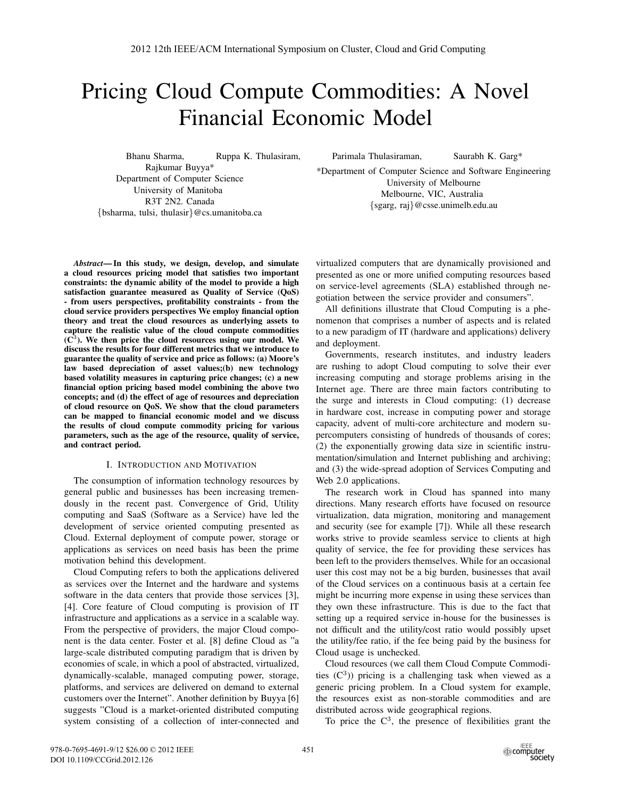# Pricing Cloud Compute Commodities: A Novel Financial Economic Model

Bhanu Sharma, Ruppa K. Thulasiram, Parimala Thulasiraman, Saurabh K. Garg\*

Rajkumar Buyya\* Department of Computer Science University of Manitoba R3T 2N2. Canada {bsharma, tulsi, thulasir}@cs.umanitoba.ca

*Abstract*— In this study, we design, develop, and simulate a cloud resources pricing model that satisfies two important constraints: the dynamic ability of the model to provide a high satisfaction guarantee measured as Quality of Service (QoS) - from users perspectives, profitability constraints - from the cloud service providers perspectives We employ financial option theory and treat the cloud resources as underlying assets to capture the realistic value of the cloud compute commodities  $(C<sup>3</sup>)$ . We then price the cloud resources using our model. We discuss the results for four different metrics that we introduce to guarantee the quality of service and price as follows: (a) Moore's law based depreciation of asset values;(b) new technology based volatility measures in capturing price changes; (c) a new financial option pricing based model combining the above two concepts; and (d) the effect of age of resources and depreciation of cloud resource on QoS. We show that the cloud parameters can be mapped to financial economic model and we discuss the results of cloud compute commodity pricing for various parameters, such as the age of the resource, quality of service, and contract period.

#### I. INTRODUCTION AND MOTIVATION

The consumption of information technology resources by general public and businesses has been increasing tremendously in the recent past. Convergence of Grid, Utility computing and SaaS (Software as a Service) have led the development of service oriented computing presented as Cloud. External deployment of compute power, storage or applications as services on need basis has been the prime motivation behind this development.

Cloud Computing refers to both the applications delivered as services over the Internet and the hardware and systems software in the data centers that provide those services [3], [4]. Core feature of Cloud computing is provision of IT infrastructure and applications as a service in a scalable way. From the perspective of providers, the major Cloud component is the data center. Foster et al. [8] define Cloud as "a large-scale distributed computing paradigm that is driven by economies of scale, in which a pool of abstracted, virtualized, dynamically-scalable, managed computing power, storage, platforms, and services are delivered on demand to external customers over the Internet". Another definition by Buyya [6] suggests "Cloud is a market-oriented distributed computing system consisting of a collection of inter-connected and

\*Department of Computer Science and Software Engineering University of Melbourne Melbourne, VIC, Australia {sgarg, raj}@csse.unimelb.edu.au

virtualized computers that are dynamically provisioned and presented as one or more unified computing resources based on service-level agreements (SLA) established through negotiation between the service provider and consumers".

All definitions illustrate that Cloud Computing is a phenomenon that comprises a number of aspects and is related to a new paradigm of IT (hardware and applications) delivery and deployment.

Governments, research institutes, and industry leaders are rushing to adopt Cloud computing to solve their ever increasing computing and storage problems arising in the Internet age. There are three main factors contributing to the surge and interests in Cloud computing: (1) decrease in hardware cost, increase in computing power and storage capacity, advent of multi-core architecture and modern supercomputers consisting of hundreds of thousands of cores; (2) the exponentially growing data size in scientific instrumentation/simulation and Internet publishing and archiving; and (3) the wide-spread adoption of Services Computing and Web 2.0 applications.

The research work in Cloud has spanned into many directions. Many research efforts have focused on resource virtualization, data migration, monitoring and management and security (see for example [7]). While all these research works strive to provide seamless service to clients at high quality of service, the fee for providing these services has been left to the providers themselves. While for an occasional user this cost may not be a big burden, businesses that avail of the Cloud services on a continuous basis at a certain fee might be incurring more expense in using these services than they own these infrastructure. This is due to the fact that setting up a required service in-house for the businesses is not difficult and the utility/cost ratio would possibly upset the utility/fee ratio, if the fee being paid by the business for Cloud usage is unchecked.

Cloud resources (we call them Cloud Compute Commodities  $(C^3)$ ) pricing is a challenging task when viewed as a generic pricing problem. In a Cloud system for example, the resources exist as non-storable commodities and are distributed across wide geographical regions.

To price the  $C<sup>3</sup>$ , the presence of flexibilities grant the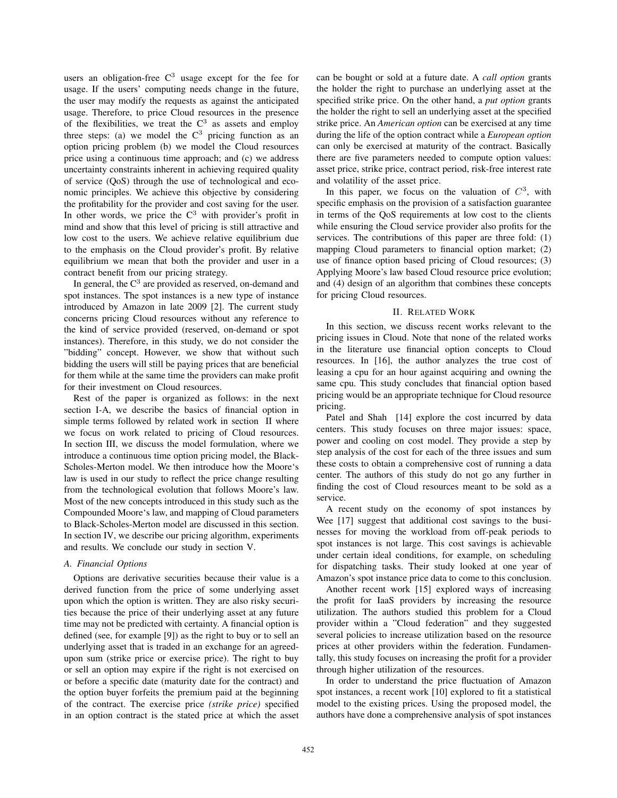users an obligation-free  $C<sup>3</sup>$  usage except for the fee for usage. If the users' computing needs change in the future, the user may modify the requests as against the anticipated usage. Therefore, to price Cloud resources in the presence of the flexibilities, we treat the  $C<sup>3</sup>$  as assets and employ three steps: (a) we model the  $C<sup>3</sup>$  pricing function as an option pricing problem (b) we model the Cloud resources price using a continuous time approach; and (c) we address uncertainty constraints inherent in achieving required quality of service (QoS) through the use of technological and economic principles. We achieve this objective by considering the profitability for the provider and cost saving for the user. In other words, we price the  $C<sup>3</sup>$  with provider's profit in mind and show that this level of pricing is still attractive and low cost to the users. We achieve relative equilibrium due to the emphasis on the Cloud provider's profit. By relative equilibrium we mean that both the provider and user in a contract benefit from our pricing strategy.

In general, the  $C<sup>3</sup>$  are provided as reserved, on-demand and spot instances. The spot instances is a new type of instance introduced by Amazon in late 2009 [2]. The current study concerns pricing Cloud resources without any reference to the kind of service provided (reserved, on-demand or spot instances). Therefore, in this study, we do not consider the "bidding" concept. However, we show that without such bidding the users will still be paying prices that are beneficial for them while at the same time the providers can make profit for their investment on Cloud resources.

Rest of the paper is organized as follows: in the next section I-A, we describe the basics of financial option in simple terms followed by related work in section II where we focus on work related to pricing of Cloud resources. In section III, we discuss the model formulation, where we introduce a continuous time option pricing model, the Black-Scholes-Merton model. We then introduce how the Moore's law is used in our study to reflect the price change resulting from the technological evolution that follows Moore's law. Most of the new concepts introduced in this study such as the Compounded Moore's law, and mapping of Cloud parameters to Black-Scholes-Merton model are discussed in this section. In section IV, we describe our pricing algorithm, experiments and results. We conclude our study in section V.

## *A. Financial Options*

Options are derivative securities because their value is a derived function from the price of some underlying asset upon which the option is written. They are also risky securities because the price of their underlying asset at any future time may not be predicted with certainty. A financial option is defined (see, for example [9]) as the right to buy or to sell an underlying asset that is traded in an exchange for an agreedupon sum (strike price or exercise price). The right to buy or sell an option may expire if the right is not exercised on or before a specific date (maturity date for the contract) and the option buyer forfeits the premium paid at the beginning of the contract. The exercise price *(strike price)* specified in an option contract is the stated price at which the asset can be bought or sold at a future date. A *call option* grants the holder the right to purchase an underlying asset at the specified strike price. On the other hand, a *put option* grants the holder the right to sell an underlying asset at the specified strike price. An *American option* can be exercised at any time during the life of the option contract while a *European option* can only be exercised at maturity of the contract. Basically there are five parameters needed to compute option values: asset price, strike price, contract period, risk-free interest rate and volatility of the asset price.

In this paper, we focus on the valuation of  $C<sup>3</sup>$ , with specific emphasis on the provision of a satisfaction guarantee in terms of the QoS requirements at low cost to the clients while ensuring the Cloud service provider also profits for the services. The contributions of this paper are three fold: (1) mapping Cloud parameters to financial option market; (2) use of finance option based pricing of Cloud resources; (3) Applying Moore's law based Cloud resource price evolution; and (4) design of an algorithm that combines these concepts for pricing Cloud resources.

# II. RELATED WORK

In this section, we discuss recent works relevant to the pricing issues in Cloud. Note that none of the related works in the literature use financial option concepts to Cloud resources. In [16], the author analyzes the true cost of leasing a cpu for an hour against acquiring and owning the same cpu. This study concludes that financial option based pricing would be an appropriate technique for Cloud resource pricing.

Patel and Shah [14] explore the cost incurred by data centers. This study focuses on three major issues: space, power and cooling on cost model. They provide a step by step analysis of the cost for each of the three issues and sum these costs to obtain a comprehensive cost of running a data center. The authors of this study do not go any further in finding the cost of Cloud resources meant to be sold as a service.

A recent study on the economy of spot instances by Wee [17] suggest that additional cost savings to the businesses for moving the workload from off-peak periods to spot instances is not large. This cost savings is achievable under certain ideal conditions, for example, on scheduling for dispatching tasks. Their study looked at one year of Amazon's spot instance price data to come to this conclusion.

Another recent work [15] explored ways of increasing the profit for IaaS providers by increasing the resource utilization. The authors studied this problem for a Cloud provider within a "Cloud federation" and they suggested several policies to increase utilization based on the resource prices at other providers within the federation. Fundamentally, this study focuses on increasing the profit for a provider through higher utilization of the resources.

In order to understand the price fluctuation of Amazon spot instances, a recent work [10] explored to fit a statistical model to the existing prices. Using the proposed model, the authors have done a comprehensive analysis of spot instances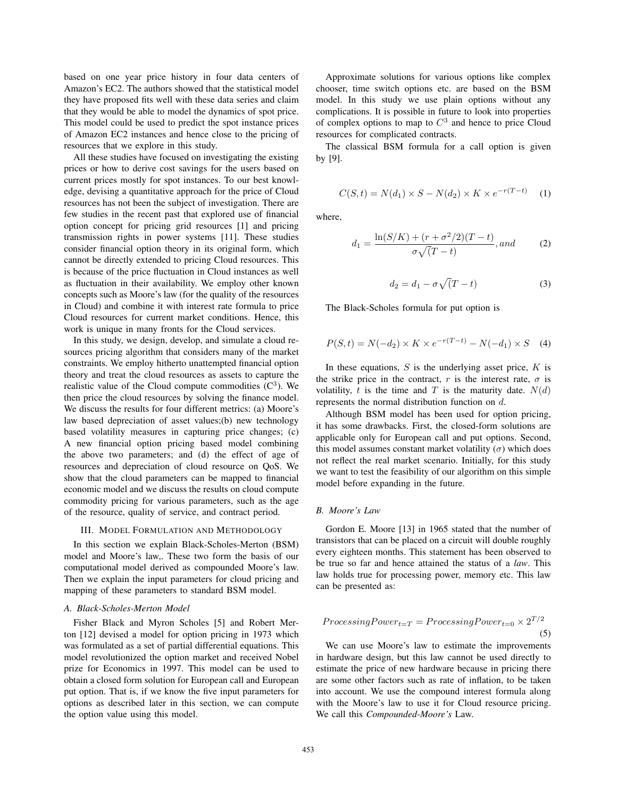based on one year price history in four data centers of Amazon's EC2. The authors showed that the statistical model they have proposed fits well with these data series and claim that they would be able to model the dynamics of spot price. This model could be used to predict the spot instance prices of Amazon EC2 instances and hence close to the pricing of resources that we explore in this study.

All these studies have focused on investigating the existing prices or how to derive cost savings for the users based on current prices mostly for spot instances. To our best knowledge, devising a quantitative approach for the price of Cloud resources has not been the subject of investigation. There are few studies in the recent past that explored use of financial option concept for pricing grid resources [1] and pricing transmission rights in power systems [11]. These studies consider financial option theory in its original form, which cannot be directly extended to pricing Cloud resources. This is because of the price fluctuation in Cloud instances as well as fluctuation in their availability. We employ other known concepts such as Moore's law (for the quality of the resources in Cloud) and combine it with interest rate formula to price Cloud resources for current market conditions. Hence, this work is unique in many fronts for the Cloud services.

In this study, we design, develop, and simulate a cloud resources pricing algorithm that considers many of the market constraints. We employ hitherto unattempted financial option theory and treat the cloud resources as assets to capture the realistic value of the Cloud compute commodities  $(C^3)$ . We then price the cloud resources by solving the finance model. We discuss the results for four different metrics: (a) Moore's law based depreciation of asset values;(b) new technology based volatility measures in capturing price changes; (c) A new financial option pricing based model combining the above two parameters; and (d) the effect of age of resources and depreciation of cloud resource on QoS. We show that the cloud parameters can be mapped to financial economic model and we discuss the results on cloud compute commodity pricing for various parameters, such as the age of the resource, quality of service, and contract period.

#### III. MODEL FORMULATION AND METHODOLOGY

In this section we explain Black-Scholes-Merton (BSM) model and Moore's law,. These two form the basis of our computational model derived as compounded Moore's law. Then we explain the input parameters for cloud pricing and mapping of these parameters to standard BSM model.

#### *A. Black-Scholes-Merton Model*

Fisher Black and Myron Scholes [5] and Robert Merton [12] devised a model for option pricing in 1973 which was formulated as a set of partial differential equations. This model revolutionized the option market and received Nobel prize for Economics in 1997. This model can be used to obtain a closed form solution for European call and European put option. That is, if we know the five input parameters for options as described later in this section, we can compute the option value using this model.

Approximate solutions for various options like complex chooser, time switch options etc. are based on the BSM model. In this study we use plain options without any complications. It is possible in future to look into properties of complex options to map to  $C<sup>3</sup>$  and hence to price Cloud resources for complicated contracts.

The classical BSM formula for a call option is given by [9].

$$
C(S, t) = N(d_1) \times S - N(d_2) \times K \times e^{-r(T-t)}
$$
 (1)

where,

$$
d_1 = \frac{\ln(S/K) + (r + \sigma^2/2)(T - t)}{\sigma\sqrt{(T - t)}}, and
$$
 (2)

$$
d_2 = d_1 - \sigma \sqrt{T - t} \tag{3}
$$

The Black-Scholes formula for put option is

$$
P(S,t) = N(-d_2) \times K \times e^{-r(T-t)} - N(-d_1) \times S \quad (4)
$$

In these equations,  $S$  is the underlying asset price,  $K$  is the strike price in the contract, r is the interest rate,  $\sigma$  is volatility, t is the time and T is the maturity date.  $N(d)$ represents the normal distribution function on  $d$ .

Although BSM model has been used for option pricing, it has some drawbacks. First, the closed-form solutions are applicable only for European call and put options. Second, this model assumes constant market volatility  $(\sigma)$  which does not reflect the real market scenario. Initially, for this study we want to test the feasibility of our algorithm on this simple model before expanding in the future.

#### *B. Moore's Law*

Gordon E. Moore [13] in 1965 stated that the number of transistors that can be placed on a circuit will double roughly every eighteen months. This statement has been observed to be true so far and hence attained the status of a *law*. This law holds true for processing power, memory etc. This law can be presented as:

$$
ProcessingPower_{t=T} = ProcessingPower_{t=0} \times 2^{T/2}
$$
\n(5)

We can use Moore's law to estimate the improvements in hardware design, but this law cannot be used directly to estimate the price of new hardware because in pricing there are some other factors such as rate of inflation, to be taken into account. We use the compound interest formula along with the Moore's law to use it for Cloud resource pricing. We call this *Compounded-Moore's* Law.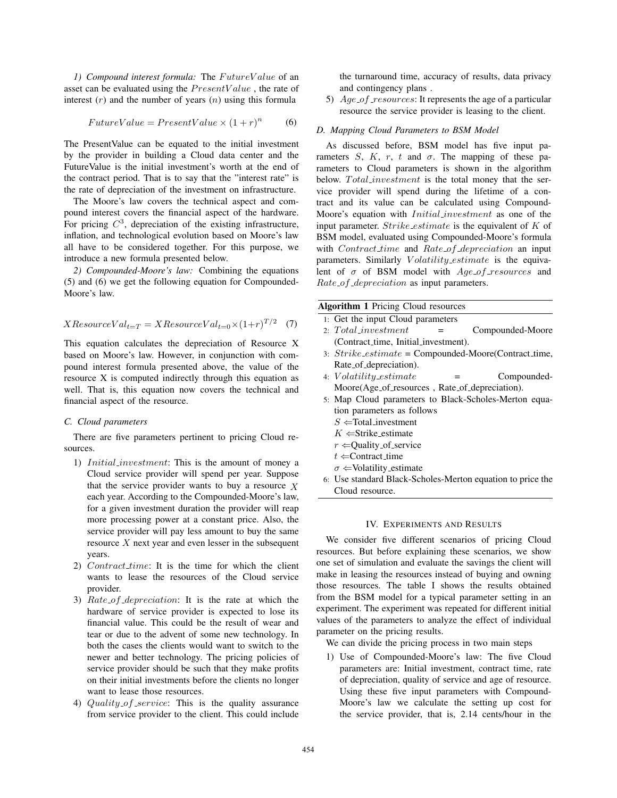*1)* Compound interest formula: The FutureV alue of an asset can be evaluated using the  $PresentValue$ , the rate of interest  $(r)$  and the number of years  $(n)$  using this formula

$$
FutureValue = PresentValue \times (1+r)^n \tag{6}
$$

The PresentValue can be equated to the initial investment by the provider in building a Cloud data center and the FutureValue is the initial investment's worth at the end of the contract period. That is to say that the "interest rate" is the rate of depreciation of the investment on infrastructure.

The Moore's law covers the technical aspect and compound interest covers the financial aspect of the hardware. For pricing  $C<sup>3</sup>$ , depreciation of the existing infrastructure, inflation, and technological evolution based on Moore's law all have to be considered together. For this purpose, we introduce a new formula presented below.

*2) Compounded-Moore's law:* Combining the equations (5) and (6) we get the following equation for Compounded-Moore's law.

$$
XResourceVal_{t=T} = XResourceVal_{t=0} \times (1+r)^{T/2} \quad (7)
$$

This equation calculates the depreciation of Resource X based on Moore's law. However, in conjunction with compound interest formula presented above, the value of the resource X is computed indirectly through this equation as well. That is, this equation now covers the technical and financial aspect of the resource.

#### *C. Cloud parameters*

There are five parameters pertinent to pricing Cloud resources.

- 1) *Initial\_investment*: This is the amount of money a Cloud service provider will spend per year. Suppose that the service provider wants to buy a resource  $X$ each year. According to the Compounded-Moore's law, for a given investment duration the provider will reap more processing power at a constant price. Also, the service provider will pay less amount to buy the same resource X next year and even lesser in the subsequent years.
- 2) Contract\_time: It is the time for which the client wants to lease the resources of the Cloud service provider.
- 3) Rate of depreciation: It is the rate at which the hardware of service provider is expected to lose its financial value. This could be the result of wear and tear or due to the advent of some new technology. In both the cases the clients would want to switch to the newer and better technology. The pricing policies of service provider should be such that they make profits on their initial investments before the clients no longer want to lease those resources.
- 4) Quality of service: This is the quality assurance from service provider to the client. This could include

the turnaround time, accuracy of results, data privacy and contingency plans .

5)  $Age\_of\_resources$ : It represents the age of a particular resource the service provider is leasing to the client.

#### *D. Mapping Cloud Parameters to BSM Model*

As discussed before, BSM model has five input parameters S, K, r, t and  $\sigma$ . The mapping of these parameters to Cloud parameters is shown in the algorithm below. Total investment is the total money that the service provider will spend during the lifetime of a contract and its value can be calculated using Compound-Moore's equation with *Initial investment* as one of the input parameter.  $Strike\_estimate$  is the equivalent of  $K$  of BSM model, evaluated using Compounded-Moore's formula with Contract\_time and Rate\_of\_depreciation an input parameters. Similarly Volatility\_estimate is the equivalent of  $\sigma$  of BSM model with  $Age\_of\_resources$  and Rate\_of\_depreciation as input parameters.

| <b>Algorithm 1</b> Pricing Cloud resources               |     |                  |
|----------------------------------------------------------|-----|------------------|
| 1: Get the input Cloud parameters                        |     |                  |
| 2: Total_investment                                      | $=$ | Compounded-Moore |
| (Contract_time, Initial_investment).                     |     |                  |
| 3: $Strike\_estimate = Compounded-Moore(Contract\_time,$ |     |                  |
| Rate_of_depreciation).                                   |     |                  |
| 4: <i>Volatility_estimate</i>                            |     | Compounded-      |
| Moore(Age_of_resources, Rate_of_depreciation).           |     |                  |
| 5: Map Cloud parameters to Black-Scholes-Merton equa-    |     |                  |
| tion parameters as follows                               |     |                  |
| $S \leftarrow$ Total_investment                          |     |                  |
| $K \leftarrow$ Strike_estimate                           |     |                  |
| $r \leftarrow$ Quality_of_service                        |     |                  |
| $t \leftarrow$ Contract_time                             |     |                  |
| $\sigma \leftarrow$ Volatility_estimate                  |     |                  |
|                                                          |     |                  |

6: Use standard Black-Scholes-Merton equation to price the Cloud resource.

#### IV. EXPERIMENTS AND RESULTS

We consider five different scenarios of pricing Cloud resources. But before explaining these scenarios, we show one set of simulation and evaluate the savings the client will make in leasing the resources instead of buying and owning those resources. The table I shows the results obtained from the BSM model for a typical parameter setting in an experiment. The experiment was repeated for different initial values of the parameters to analyze the effect of individual parameter on the pricing results.

We can divide the pricing process in two main steps

1) Use of Compounded-Moore's law: The five Cloud parameters are: Initial investment, contract time, rate of depreciation, quality of service and age of resource. Using these five input parameters with Compound-Moore's law we calculate the setting up cost for the service provider, that is, 2.14 cents/hour in the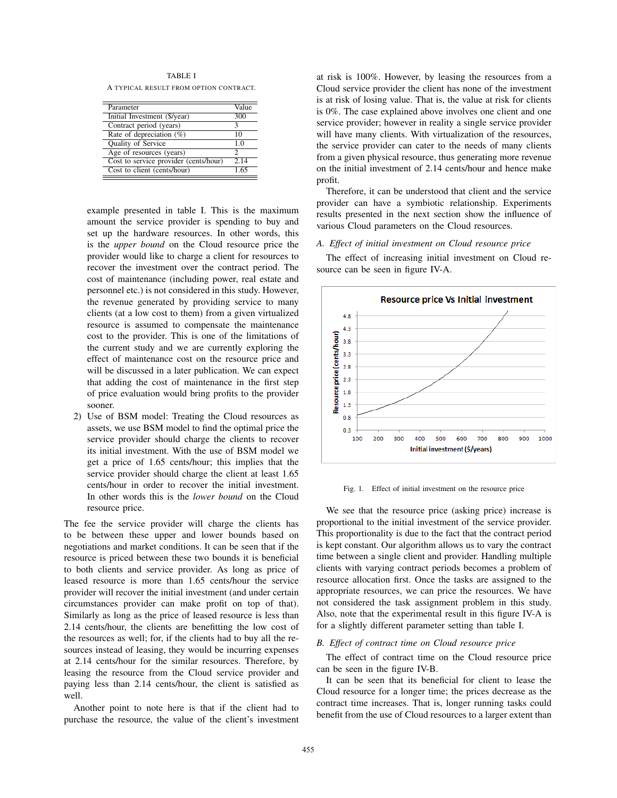TABLE I A TYPICAL RESULT FROM OPTION CONTRACT.

| Parameter                             | Value |
|---------------------------------------|-------|
| Initial Investment (\$/year)          | 300   |
| Contract period (years)               | 3     |
| Rate of depreciation $(\%)$           | 10    |
| Quality of Service                    | 10    |
| Age of resources (years)              |       |
| Cost to service provider (cents/hour) | 2.14  |
| Cost to client (cents/hour)           | 1 65  |

example presented in table I. This is the maximum amount the service provider is spending to buy and set up the hardware resources. In other words, this is the *upper bound* on the Cloud resource price the provider would like to charge a client for resources to recover the investment over the contract period. The cost of maintenance (including power, real estate and personnel etc.) is not considered in this study. However, the revenue generated by providing service to many clients (at a low cost to them) from a given virtualized resource is assumed to compensate the maintenance cost to the provider. This is one of the limitations of the current study and we are currently exploring the effect of maintenance cost on the resource price and will be discussed in a later publication. We can expect that adding the cost of maintenance in the first step of price evaluation would bring profits to the provider sooner.

2) Use of BSM model: Treating the Cloud resources as assets, we use BSM model to find the optimal price the service provider should charge the clients to recover its initial investment. With the use of BSM model we get a price of 1.65 cents/hour; this implies that the service provider should charge the client at least 1.65 cents/hour in order to recover the initial investment. In other words this is the *lower bound* on the Cloud resource price.

The fee the service provider will charge the clients has to be between these upper and lower bounds based on negotiations and market conditions. It can be seen that if the resource is priced between these two bounds it is beneficial to both clients and service provider. As long as price of leased resource is more than 1.65 cents/hour the service provider will recover the initial investment (and under certain circumstances provider can make profit on top of that). Similarly as long as the price of leased resource is less than 2.14 cents/hour, the clients are benefitting the low cost of the resources as well; for, if the clients had to buy all the resources instead of leasing, they would be incurring expenses at 2.14 cents/hour for the similar resources. Therefore, by leasing the resource from the Cloud service provider and paying less than 2.14 cents/hour, the client is satisfied as well.

Another point to note here is that if the client had to purchase the resource, the value of the client's investment

at risk is 100%. However, by leasing the resources from a Cloud service provider the client has none of the investment is at risk of losing value. That is, the value at risk for clients is 0%. The case explained above involves one client and one service provider; however in reality a single service provider will have many clients. With virtualization of the resources, the service provider can cater to the needs of many clients from a given physical resource, thus generating more revenue on the initial investment of 2.14 cents/hour and hence make profit.

Therefore, it can be understood that client and the service provider can have a symbiotic relationship. Experiments results presented in the next section show the influence of various Cloud parameters on the Cloud resources.

## *A. Effect of initial investment on Cloud resource price*

The effect of increasing initial investment on Cloud resource can be seen in figure IV-A.



Fig. 1. Effect of initial investment on the resource price

We see that the resource price (asking price) increase is proportional to the initial investment of the service provider. This proportionality is due to the fact that the contract period is kept constant. Our algorithm allows us to vary the contract time between a single client and provider. Handling multiple clients with varying contract periods becomes a problem of resource allocation first. Once the tasks are assigned to the appropriate resources, we can price the resources. We have not considered the task assignment problem in this study. Also, note that the experimental result in this figure IV-A is for a slightly different parameter setting than table I.

## *B. Effect of contract time on Cloud resource price*

The effect of contract time on the Cloud resource price can be seen in the figure IV-B.

It can be seen that its beneficial for client to lease the Cloud resource for a longer time; the prices decrease as the contract time increases. That is, longer running tasks could benefit from the use of Cloud resources to a larger extent than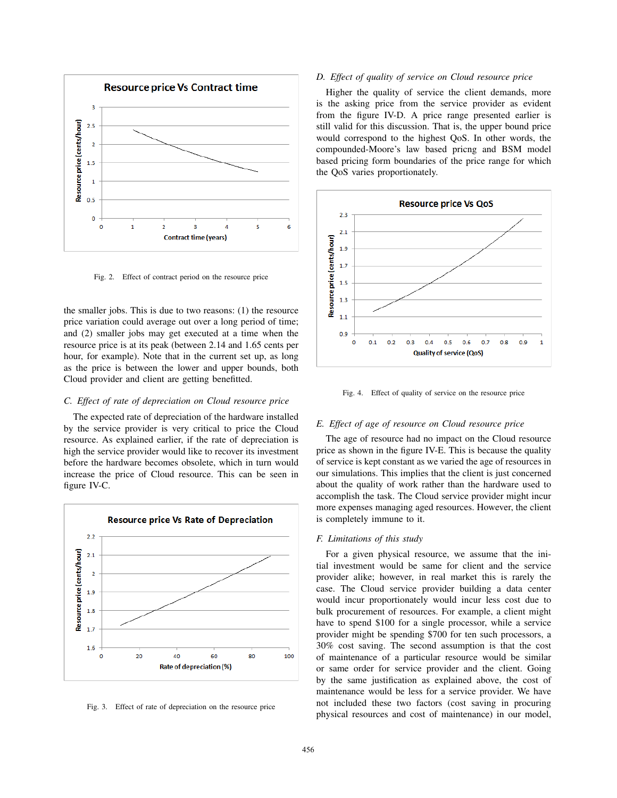

Fig. 2. Effect of contract period on the resource price

the smaller jobs. This is due to two reasons: (1) the resource price variation could average out over a long period of time; and (2) smaller jobs may get executed at a time when the resource price is at its peak (between 2.14 and 1.65 cents per hour, for example). Note that in the current set up, as long as the price is between the lower and upper bounds, both Cloud provider and client are getting benefitted.

#### *C. Effect of rate of depreciation on Cloud resource price*

The expected rate of depreciation of the hardware installed by the service provider is very critical to price the Cloud resource. As explained earlier, if the rate of depreciation is high the service provider would like to recover its investment before the hardware becomes obsolete, which in turn would increase the price of Cloud resource. This can be seen in figure IV-C.



Fig. 3. Effect of rate of depreciation on the resource price

## *D. Effect of quality of service on Cloud resource price*

Higher the quality of service the client demands, more is the asking price from the service provider as evident from the figure IV-D. A price range presented earlier is still valid for this discussion. That is, the upper bound price would correspond to the highest QoS. In other words, the compounded-Moore's law based pricng and BSM model based pricing form boundaries of the price range for which the QoS varies proportionately.



Fig. 4. Effect of quality of service on the resource price

# *E. Effect of age of resource on Cloud resource price*

The age of resource had no impact on the Cloud resource price as shown in the figure IV-E. This is because the quality of service is kept constant as we varied the age of resources in our simulations. This implies that the client is just concerned about the quality of work rather than the hardware used to accomplish the task. The Cloud service provider might incur more expenses managing aged resources. However, the client is completely immune to it.

## *F. Limitations of this study*

For a given physical resource, we assume that the initial investment would be same for client and the service provider alike; however, in real market this is rarely the case. The Cloud service provider building a data center would incur proportionately would incur less cost due to bulk procurement of resources. For example, a client might have to spend \$100 for a single processor, while a service provider might be spending \$700 for ten such processors, a 30% cost saving. The second assumption is that the cost of maintenance of a particular resource would be similar or same order for service provider and the client. Going by the same justification as explained above, the cost of maintenance would be less for a service provider. We have not included these two factors (cost saving in procuring physical resources and cost of maintenance) in our model,